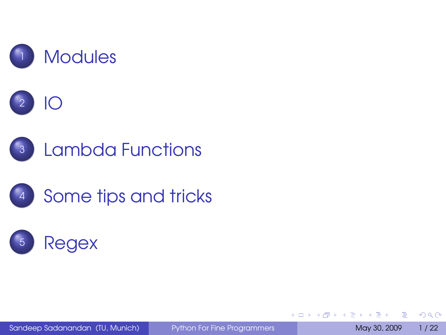

B

 $QQ$ 

<span id="page-0-0"></span> $\mathbb{B} \rightarrow \mathbb{R} \oplus \mathbb{R}$ 

**4 ロト 4 何 ト 4**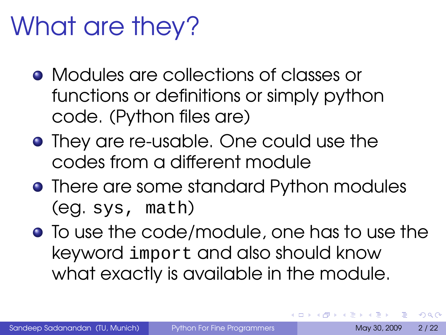### What are they?

- Modules are collections of classes or functions or definitions or simply python code. (Python files are)
- **•** They are re-usable. One could use the codes from a different module
- **•** There are some standard Python modules (eg. sys, math)
- **•** To use the code/module, one has to use the keyword import and also should know what exactly is available in the module.

 $\Omega$ 

<span id="page-1-0"></span> $\leftarrow$   $\Box$   $\rightarrow$   $\leftarrow$   $\leftarrow$   $\Box$   $\rightarrow$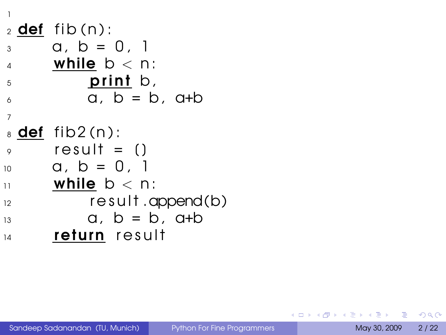```
12 def fib(n):
3 \text{ } a, b = 0, 1
4 while b < n:
5 \qquad \qquad print b,
\alpha, b = b, a+b
7
s def fib2(n):
\circ result = ()
10 a, b = 0. 1
\ln while b < n:
12 result.append(b)
13 a, b = b, a+b
14 return result
```
 $QQ$ 

一 一 三 一

 $AB + AB$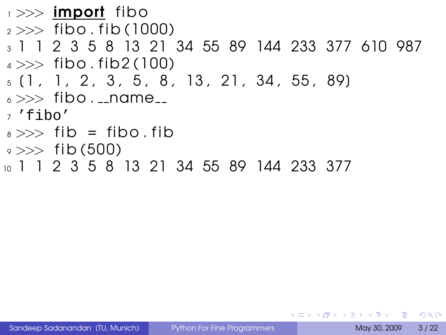```
\rightarrow >> import fibo
2 >> fibo. fib(1000)
3 1 1 2 3 5 8 13 21 34 55 89 144 233 377 610 987
4 \gg b fibo. fib2(100)
5 [ 1 , 1 , 2 , 3 , 5 , 8 , 13 , 21 , 34 , 55 , 89]
6 \gg > fibo. \lnot name
7 'fibo'
8 \gg\gt 1 fib = fibo. fib
\frac{1}{2} >>> fib (500)
10 1 1 2 3 5 8 13 21 34 55 89 144 233 377
```
Sandeep Sadanandan (TU, Munich) [Python For Fine Programmers](#page-0-0) May 30, 2009 3/22

 $\equiv$   $\cap$   $\alpha$ 

イロト イ押 トイヨ トイヨト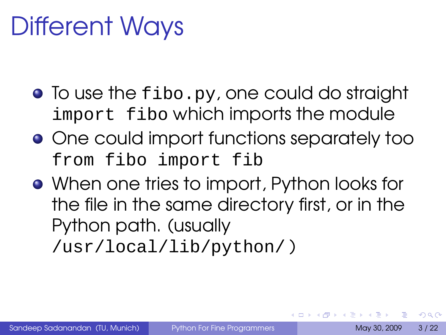### Different Ways

- To use the fibo.py, one could do straight import fibo which imports the module
- One could import functions separately too from fibo import fib
- When one tries to import, Python looks for the file in the same directory first, or in the Python path. (usually

/usr/local/lib/python/ )

 $\Omega$ 

 $\rightarrow$   $\equiv$   $\rightarrow$ 

**4 ロト 4 何 ト 4**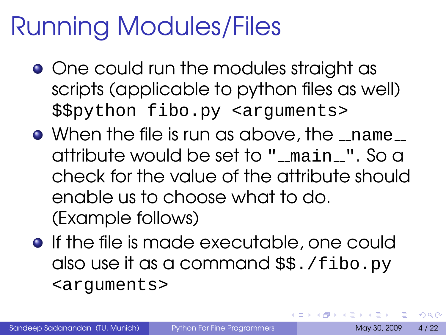### Running Modules/Files

- One could run the modules straight as scripts (applicable to python files as well) \$\$python fibo.py <arguments>
- $\bullet$  When the file is run as above, the  $\_$ name $\_$ attribute would be set to " main ". So a check for the value of the attribute should enable us to choose what to do. (Example follows)
- **•** If the file is made executable, one could also use it as a command \$\$./fibo.py <arguments>

D.

 $\Omega$ 

イロメ イ母メ イラメ イラメ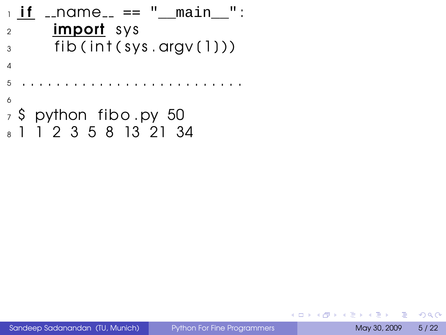```
_1 if \_name \_ == "__main \_":
2 import sys
\frac{3}{3} fib (int (sys. argv(1)))
4
5 . . . . . . . . . . . . . . . . . . . . . . . . . .
6
<sub>7</sub>$ python fibo.py 50</sub>
8 1 1 2 3 5 8 13 21 34
```
 $QQ$ 

一 4 三

4 F + 4 F + 4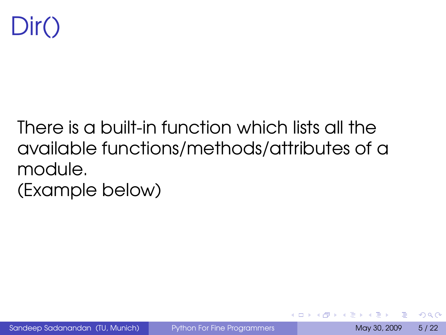

### There is a built-in function which lists all the available functions/methods/attributes of a module. (Example below)

 $\Omega$ 

 $\leftarrow$   $\equiv$   $\rightarrow$ 

**←ロト ←何ト**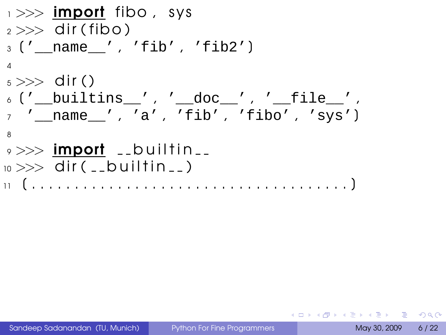>>> import fibo , s y s >>> d i r ( f ibo ) ['\_\_name\_\_' , 'fib' , 'fib2'] >>> d i r ( ) ['\_\_builtins\_\_' , '\_\_doc\_\_' , '\_\_file\_\_' , '\_\_name\_\_' , 'a' , 'fib' , 'fibo' , 'sys'] >>> import b u i l t i n >>> d i r ( b u i l t i n ) [ . . . . . . . . . . . . . . . . . . . . . . . . . . . . . . . . . . . . . ]

 $QQ$ 

<span id="page-8-0"></span>メロトメ 御 トメ 差 トメ 差 トー 差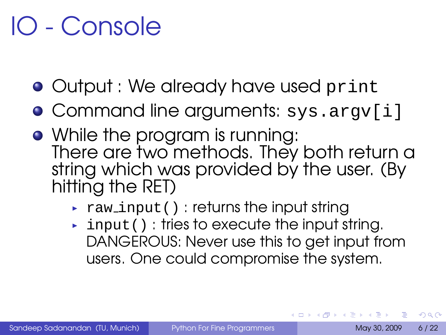### IO - Console

- Output : We already have used print
- Command line arguments: sys.argv[i]
- While the program is running: There are two methods. They both return a string which was provided by the user. (By hitting the RET)
	- $\rightarrow$  raw input(): returns the input string
	- $\rightarrow$  input (): tries to execute the input string. DANGEROUS: Never use this to get input from users. One could compromise the system.

 $\Omega$ 

イロト イ押 トイヨ トイヨ トー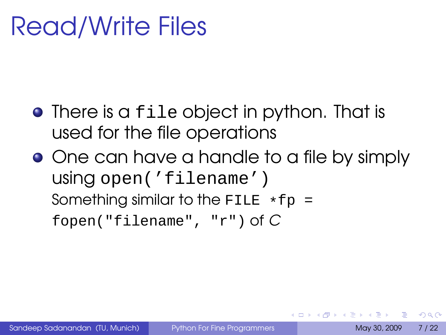### Read/Write Files

- There is a file object in python. That is used for the file operations
- One can have a handle to a file by simply using open('filename') Something similar to the FILE  $*fp =$ fopen("filename", "r") of C

 $\Omega$ 

 $\mathbf{A} \cdot \mathbf{B} \cdot \mathbf{A} \cdot \mathbf{A} \cdot \mathbf{B}$ 

 $\leftarrow$   $\Box$   $\rightarrow$   $\leftarrow$   $\leftarrow$   $\Box$   $\rightarrow$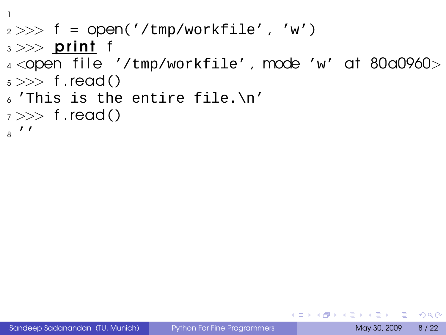```
1
2 >> f = open('/tmp/workfile', 'w')_3 >> print f
4<open file '/tmp/workfile', mode 'w' at 80a0960>
5 \gg f.read()
\delta 'This is the entire file. \n'
7 \gg > f.read()
8'
```
KEL KALEY (EN EL AQO)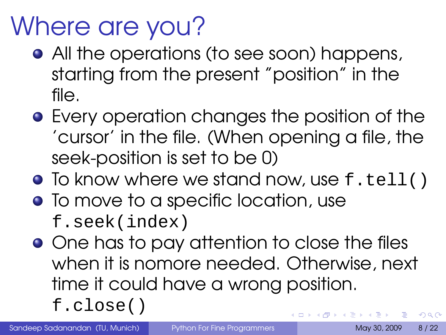### Where are you?

- All the operations (to see soon) happens, starting from the present "position" in the file.
- **•** Every operation changes the position of the 'cursor' in the file. (When opening a file, the seek-position is set to be 0)
- To know where we stand now, use f.tell()
- To move to a specific location, use f.seek(index)
- One has to pay attention to close the files when it is nomore needed. Otherwise, next time it could have a wrong position. f.close() **K ロ ト K 何 ト K ヨ ト K ヨ**  $\Omega$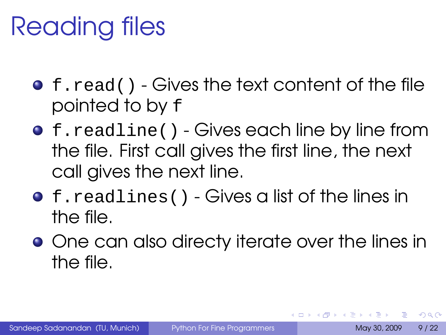### Reading files

- f.read() Gives the text content of the file pointed to by f
- **•** f.readline() Gives each line by line from the file. First call gives the first line, the next call gives the next line.
- **•** f.readlines() Gives a list of the lines in the file.
- **•** One can also directy iterate over the lines in the file.

 $\Omega$ 

ミドイミド

 $\leftarrow$   $\Box$   $\rightarrow$   $\leftarrow$   $\leftarrow$   $\Box$   $\rightarrow$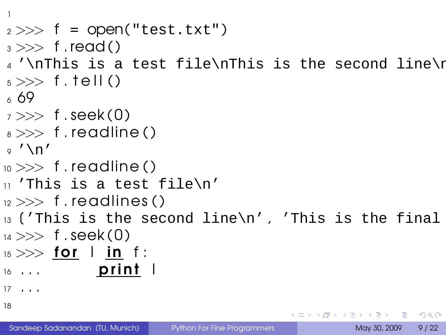```
1
 2 >> f = open("test.txt")_3 \gg\gt f read()
_4 '\nThis is a test file\nThis is the second line\r
5 \gg f. tell ()
6 69
7 \gg f.seek(0)
_{\rm 8} >> f.readline ()
9'\n'
_{10} >> f . readline ( )
11 'This is a test file\n'
_{12} >> f. readlines ()
13 ('This is the second line\n', 'This is the final
_{14} >> f. seek(0)
_{15} >> for l in f:
\frac{16}{16} ... print l
17 \cdot . . .18
                                                                                                  \left( \frac{1}{2} \right) \left( \frac{1}{2} \right) \left( \frac{1}{2} \right) \left( \frac{1}{2} \right) \left( \frac{1}{2} \right) \left( \frac{1}{2} \right) \left( \frac{1}{2} \right) \left( \frac{1}{2} \right) \left( \frac{1}{2} \right) \left( \frac{1}{2} \right) \left( \frac{1}{2} \right) \left( \frac{1}{2} \right) \left( \frac{1}{2} \right) \left( \frac{1}{2} \right
```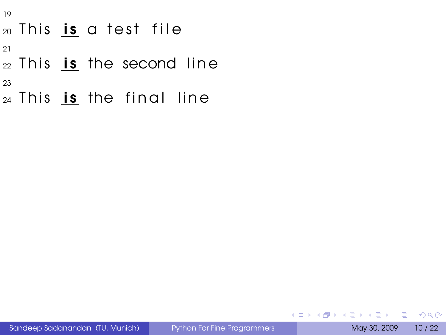- This is a test file
- 
- This is the second line
- 
- This is the final line

**KOD & CONTRACT A REPORT**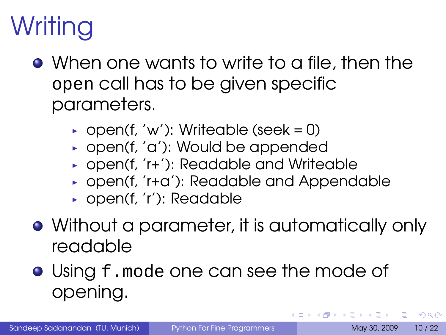# Writing

- When one wants to write to a file, then the open call has to be given specific parameters.
	- ▶ open(f, 'w'): Writeable (seek = 0)
	- ► open(f, 'a'): Would be appended
	- ▶ open(f, 'r+'): Readable and Writeable
	- ► open(f, 'r+a'): Readable and Appendable
	- ► open(f, 'r'): Readable
- Without a parameter, it is automatically only readable
- **Using f.mode one can see the mode of** opening.

 $\Omega$ 

**BAKBA B** 

**K ロ ト K 何 ト K**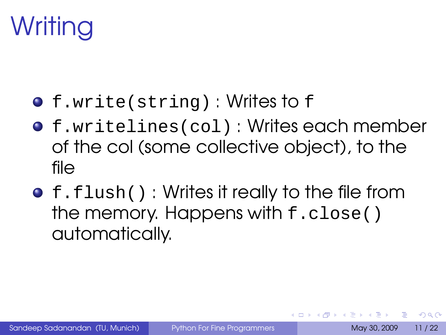## Writing

- f.write(string) : Writes to f
- f.writelines(col) : Writes each member of the col (some collective object), to the file
- **•** f.flush(): Writes it really to the file from the memory. Happens with f.close() automatically.

 $\Omega$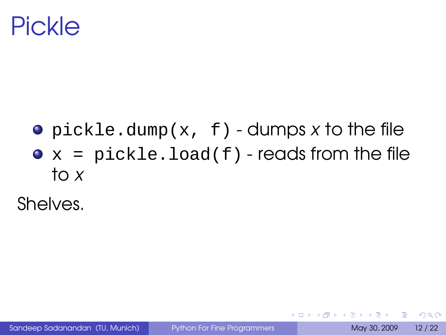### Pickle

• pickle.dump(x, f) - dumps x to the file  $\bullet$  x = pickle.load(f) - reads from the file to x

Shelves.

Þ

 $QQ$ 

 $\leftarrow$   $\equiv$   $\rightarrow$ 

 $\leftarrow$   $\Box$   $\rightarrow$   $\leftarrow$   $\leftarrow$   $\rightarrow$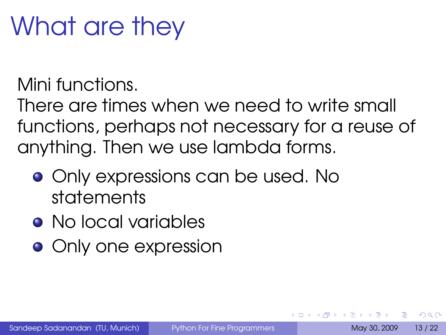## What are they

### Mini functions.

There are times when we need to write small functions, perhaps not necessary for a reuse of anything. Then we use lambda forms.

- **•** Only expressions can be used. No statements
- No local variables
- **•** Only one expression

<span id="page-19-0"></span> $\Omega$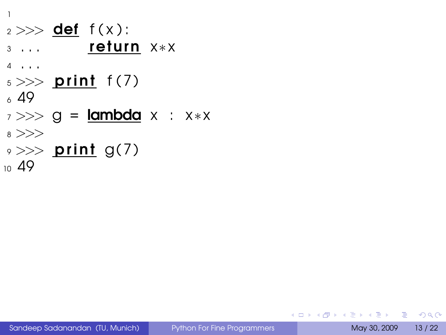1  $2 >>$  def  $f(x)$ : 3 ... **return** x∗x <sup>4</sup> . . .  $5 \gg >$  print  $f(7)$  $649$ 7 >>> g = **lambda** x : x∗x <sup>8</sup> >>>  $\rightarrow >>$  print g(7) 10 49

**KEIKREIKER (E. POLO**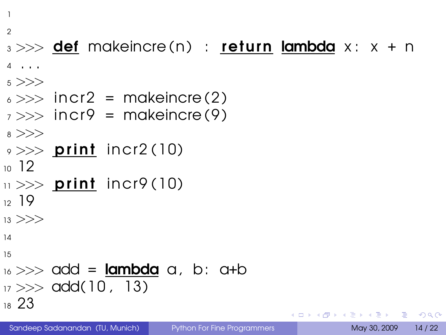```
1
```
#### $\mathfrak{D}$

#### $3 \gg\gg$  def makeincre(n) : return lambda x: x + n

```
4 . . .
```

```
5 > >>
```
- $\epsilon >> \text{incr2}$  = makeincre(2)
- $7 \gg\$  incr9 = makeincre (9)

```
8 >>>
```

```
\Rightarrow \gg print incr2(10)
```

```
10 12
```

```
\mu >> print incr9(10)
```

```
12 \t19
```

```
13 >>
```

```
14
```

```
15
```

```
_{16} >> add = lambda a, b; a+b
17 >> \text{add}(10, 13)18 23
```
 $\Omega$ 

 $\rightarrow$   $\equiv$   $\rightarrow$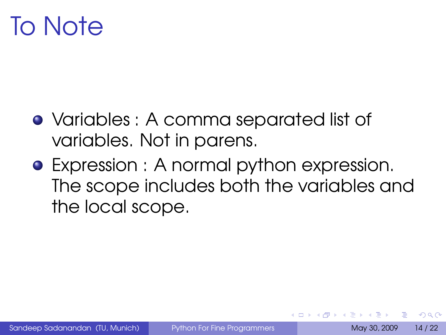### To Note

- Variables : A comma separated list of variables. Not in parens.
- Expression : A normal python expression. The scope includes both the variables and the local scope.

 $\Omega$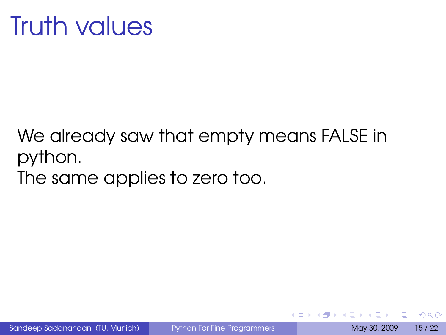We already saw that empty means FALSE in python. The same applies to zero too.

∍

 $\Omega$ 

<span id="page-23-0"></span> $\leftarrow \exists \rightarrow$ 

**←ロト ←何ト**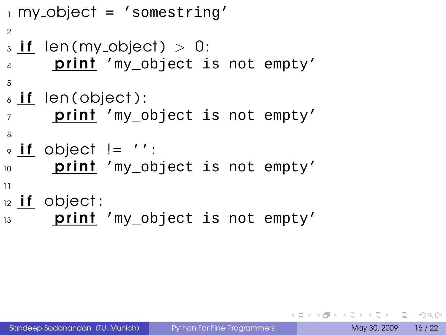```
1 my object = 'somestring'
2
_3 if len(my_object) >0:
      print 'my object is not empty'
5
\delta if len(object):
7 print 'my_object is not empty'
8
\circ if object != '':
10 print 'my object is not empty'
11
12 if object:
13 prini 'my object is not empty'
```
KEL KALLA BIKA BIKA GA A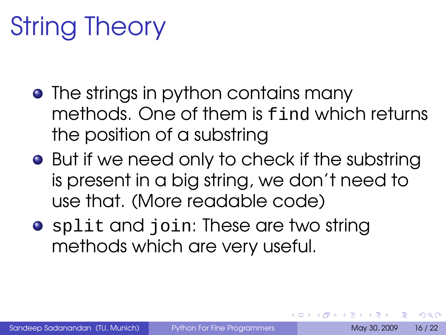# String Theory

- The strings in python contains many methods. One of them is find which returns the position of a substring
- **•** But if we need only to check if the substring is present in a big string, we don't need to use that. (More readable code)
- **•** split and join: These are two string methods which are very useful.

 $\Omega$ 

重き イヨギ

 $\leftarrow$   $\Box$   $\rightarrow$   $\leftarrow$   $\leftarrow$   $\Box$   $\rightarrow$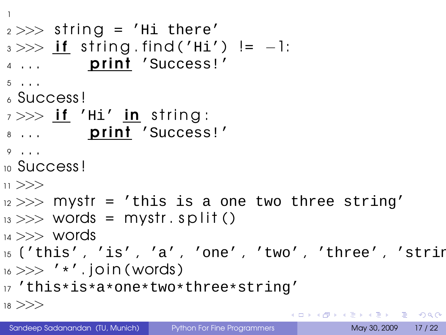```
1
2 >> string = 'Hi there'
3 \gg \gg if string find ('Hi') != -1:
4 ... print 'Success!'
5 . . .
6 Success !
7 >> if 'Hi' in string:
8 ... print 'Success!'
9 . . .
10 Success!
11 >>12 >> mystr = 'this is a one two three string'
_{13} >> words = mystr. split()
_{14} >> words
15 ('this', 'is', 'a', 'one', 'two', 'three', 'string
_{16} >> ' *'. join (words)
17 'this*is*a*one*two*three*string'
18 >>KORK EXTERICATION
```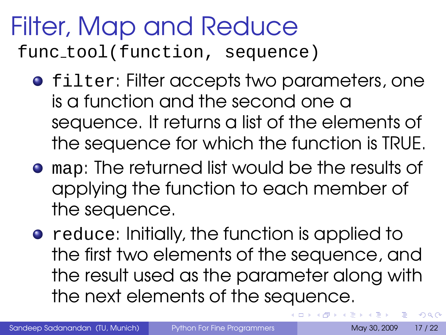### Filter, Map and Reduce func tool(function, sequence)

- **•** filter: Filter accepts two parameters, one is a function and the second one a sequence. It returns a list of the elements of the sequence for which the function is TRUE.
- map: The returned list would be the results of applying the function to each member of the sequence.
- **•** reduce: Initially, the function is applied to the first two elements of the sequence, and the result used as the parameter along with the next elements of the sequence.

つのへ

ヨメ イヨメ

 $\leftarrow$   $\leftarrow$   $\leftarrow$   $\leftarrow$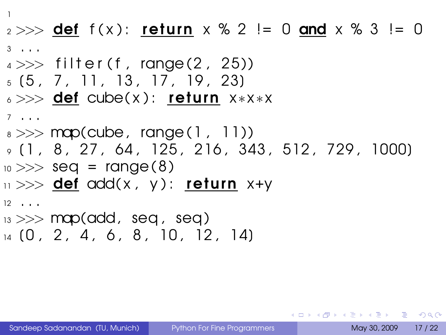```
1
2 >> def f(x): return x \, \frac{1}{2} = 0 and x \, \frac{1}{2} = 03 \cdot \cdot \cdot4 >> filter (f, range (2, 25))
5(5, 7, 11, 13, 17, 19, 23)6 >>> def cube( x ) : return x∗x∗x
7 . . .
_8 \gg\gg map(cube, range(1, 11))
9 (1, 8, 27, 64, 125, 216, 343, 512, 729, 1000)
_{10} >> seq = range (8)
\vert 11 >>> def add(x, y): return x+y
12 \cdot \cdot \cdot_{13} >> map(add, seq, seq)
14 (0, 2, 4, 6, 8, 10, 12, 14)
```
KEL KALLA BIKA BIKA GA A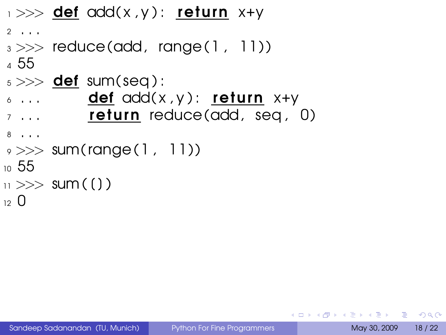```
1 >> def add(x,y): return x+y
2 \cdot \cdot \cdot3 \gg\gg reduce(add, range(1, 11))
4 55
5 \gg >> def sum(seq):
\delta ... \qquad def \alphadd(x,y): return x+y7 \ldots return reduce (add, seq, 0)
8 . . .
\rightarrow >> sum(range(1, 11))
10 55
_{11} >> sum ( ( ) )
12 \Omega
```
**KORK EXTERICATION**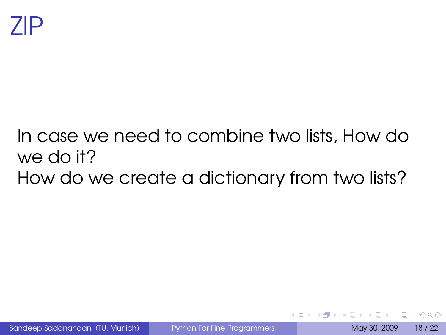### In case we need to combine two lists, How do we do it? How do we create a dictionary from two lists?

 $\Omega$ 

 $\leftarrow$   $\equiv$   $\rightarrow$ 

**←ロト ←何ト**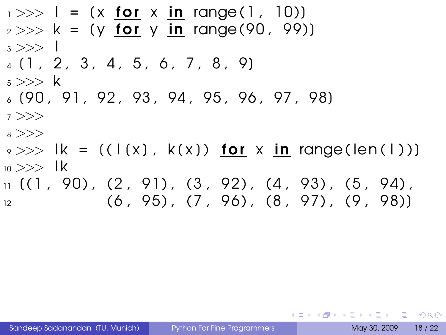- $_1 >> 1 = (x \text{ for } x \text{ in } range(1, 10))$  $2 >> k = (y$  for y in range (90, 99)  $3 \gg >> 1$
- $4$   $(1, 2, 3, 4, 5, 6, 7, 8, 9)$
- $5$  >>> k
- $6$  (90, 91, 92, 93, 94, 95, 96, 97, 98)
- <sup>7</sup> >>>
- <sup>8</sup> >>>
- $\Rightarrow$   $\Rightarrow$   $\Rightarrow$   $\Rightarrow$   $\Rightarrow$   $\Rightarrow$   $((\bot(x), \ k(x))$  for x in range( $\text{len}(\bot))$ )  $_{10}$  >>> 1k  $_{11}$  ((1, 90), (2, 91), (3, 92), (4, 93), (5, 94),
- $\begin{array}{ccc} \hline\n 12 & (6, 95), (7, 96), (8, 97), (9, 98) \end{array}$

KEL KALEY (EN EL AQO)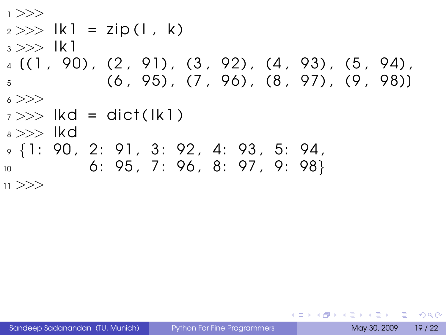```
1 >>>
2 >> |k| = zip(1, k)3 >> |k|_4 ((1, 90), (2, 91), (3, 92), (4, 93), (5, 94),
5 \qquad (6, 95), (7, 96), (8, 97), (9, 98)6 \gt>>7 >> | k d = \text{dict} ( k l )_{8} >> lkd
9 {1: 90 , 2: 91 , 3: 92 , 4: 93 , 5: 94 ,
10 6: 95 , 7: 96 , 8: 97 , 9: 98}
11 >>
```
<span id="page-32-0"></span>KEL KALEY (EN EL AQO)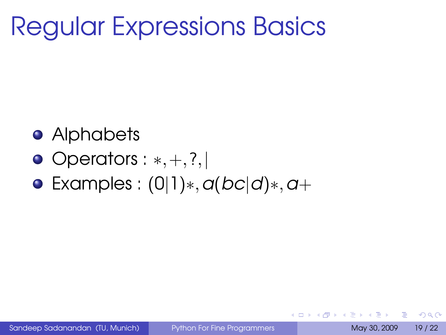### Regular Expressions Basics

- **•** Alphabets
- Operators : <sup>∗</sup>,+,?,<sup>|</sup>
- $\bullet$  Examples : (0|1)\*,  $a(bc|d)*$ ,  $a+$

œ.

 $\Omega$ 

ミメスヨメ

**4 ロト 4 何 ト 4**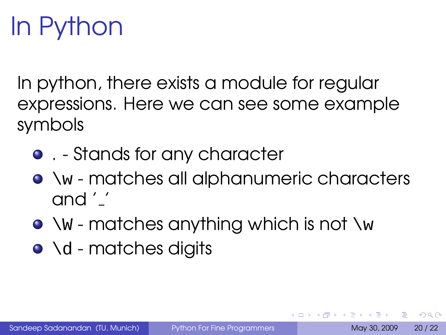# In Python

In python, there exists a module for regular expressions. Here we can see some example symbols

- . Stands for any character
- $\bullet\vee\vee\bullet\wedge$  matches all alphanumeric characters and ' '
- $\bullet \vee w$  matches anything which is not  $\vee w$
- $\bullet \setminus d$  matches digits

 $\Omega$ 

**ALBERTA** ∍

 $\leftarrow$   $\Box$   $\rightarrow$   $\leftarrow$   $\leftarrow$   $\Box$   $\rightarrow$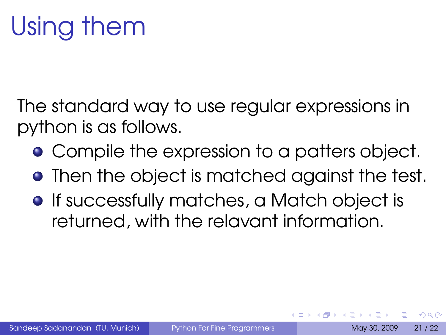The standard way to use regular expressions in python is as follows.

- **Compile the expression to a patters object.**
- **•** Then the object is matched against the test.
- **•** If successfully matches, a Match object is returned, with the relavant information.

 $\Omega$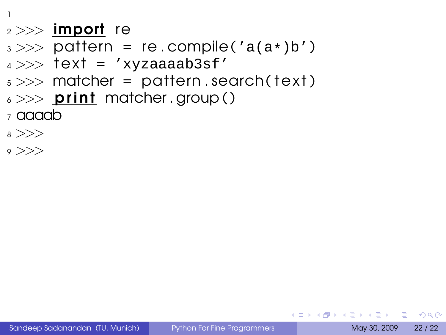1

#### $2 >>$  import re

- $3 \gg\gg$  pattern = re.compile('a(a\*)b')
- $4 >>$  text = 'xyzaaaab3sf'
- $5 \gg\gg$  matcher = pattern . search (text)
- $6 \gg >>$  print matcher . group ()
- <sup>7</sup> aaaab
- <sup>8</sup> >>>
- $\circ$  >>>

**KOD KARD KED KED DE VOOR**